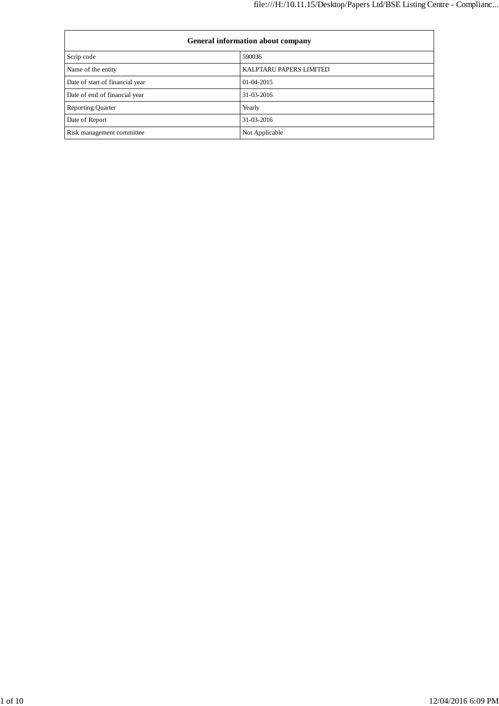| <b>General information about company</b> |                         |  |
|------------------------------------------|-------------------------|--|
| Scrip code                               | 590036                  |  |
| Name of the entity                       | KALPTARU PAPERS LIMITED |  |
| Date of start of financial year          | $01-04-2015$            |  |
| Date of end of financial year            | 31-03-2016              |  |
| <b>Reporting Quarter</b>                 | Yearly                  |  |
| Date of Report                           | 31-03-2016              |  |
| Risk management committee                | Not Applicable          |  |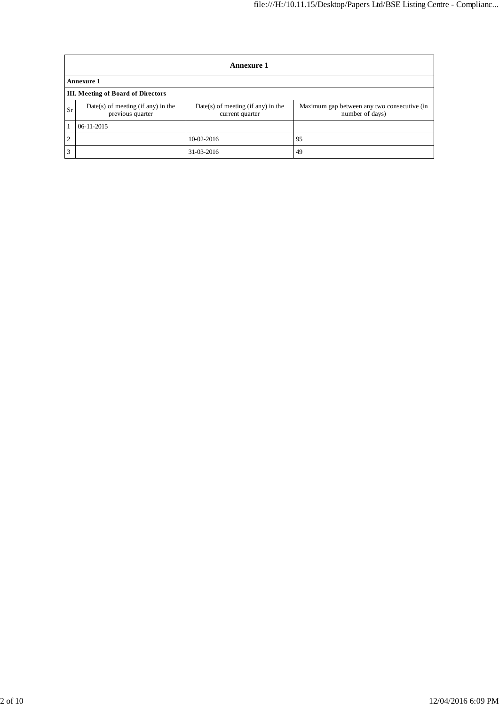|                | <b>Annexure 1</b>                                      |                                                         |                                                                |  |  |
|----------------|--------------------------------------------------------|---------------------------------------------------------|----------------------------------------------------------------|--|--|
|                | <b>Annexure 1</b>                                      |                                                         |                                                                |  |  |
|                | <b>III.</b> Meeting of Board of Directors              |                                                         |                                                                |  |  |
| <b>Sr</b>      | Date(s) of meeting (if any) in the<br>previous quarter | $Date(s)$ of meeting (if any) in the<br>current quarter | Maximum gap between any two consecutive (in<br>number of days) |  |  |
|                | $06 - 11 - 2015$                                       |                                                         |                                                                |  |  |
| $\overline{2}$ |                                                        | $10-02-2016$                                            | 95                                                             |  |  |
| 3              |                                                        | 31-03-2016                                              | 49                                                             |  |  |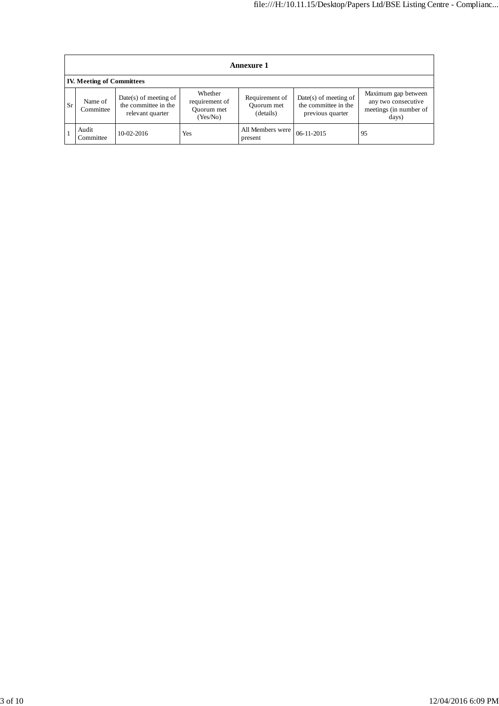|           | <b>Annexure 1</b>                |                                                                   |                                                     |                                           |                                                                     |                                                                               |
|-----------|----------------------------------|-------------------------------------------------------------------|-----------------------------------------------------|-------------------------------------------|---------------------------------------------------------------------|-------------------------------------------------------------------------------|
|           | <b>IV. Meeting of Committees</b> |                                                                   |                                                     |                                           |                                                                     |                                                                               |
| <b>Sr</b> | Name of<br>Committee             | Date(s) of meeting of<br>the committee in the<br>relevant quarter | Whether<br>requirement of<br>Ouorum met<br>(Yes/No) | Requirement of<br>Ouorum met<br>(details) | $Date(s)$ of meeting of<br>the committee in the<br>previous quarter | Maximum gap between<br>any two consecutive<br>meetings (in number of<br>days) |
|           | Audit<br>Committee               | $10-02-2016$                                                      | Yes                                                 | All Members were<br>present               | 06-11-2015                                                          | 95                                                                            |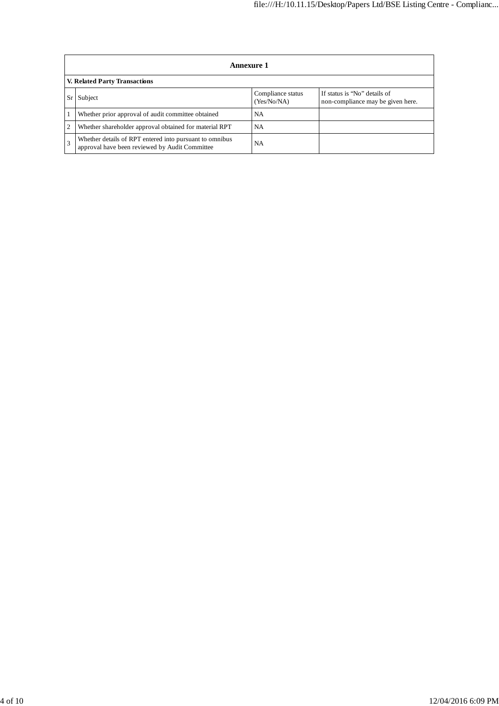| Annexure 1                                                                                                |                                  |                                                                   |  |  |
|-----------------------------------------------------------------------------------------------------------|----------------------------------|-------------------------------------------------------------------|--|--|
| V. Related Party Transactions                                                                             |                                  |                                                                   |  |  |
| Subject                                                                                                   | Compliance status<br>(Yes/No/NA) | If status is "No" details of<br>non-compliance may be given here. |  |  |
| Whether prior approval of audit committee obtained                                                        | <b>NA</b>                        |                                                                   |  |  |
| Whether shareholder approval obtained for material RPT                                                    | <b>NA</b>                        |                                                                   |  |  |
| Whether details of RPT entered into pursuant to omnibus<br>approval have been reviewed by Audit Committee | NA                               |                                                                   |  |  |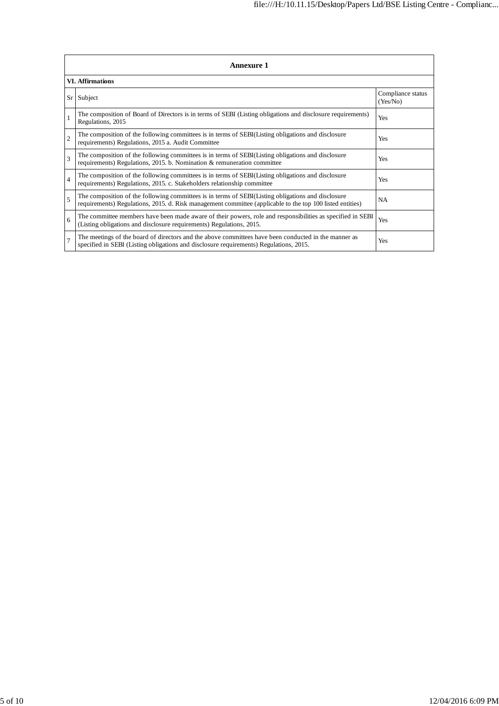|                | Annexure 1                                                                                                                                                                                                      |                               |  |  |
|----------------|-----------------------------------------------------------------------------------------------------------------------------------------------------------------------------------------------------------------|-------------------------------|--|--|
|                | <b>VI.</b> Affirmations                                                                                                                                                                                         |                               |  |  |
| Sr             | Subject                                                                                                                                                                                                         | Compliance status<br>(Yes/No) |  |  |
| $\mathbf{1}$   | The composition of Board of Directors is in terms of SEBI (Listing obligations and disclosure requirements)<br>Regulations, 2015                                                                                | Yes                           |  |  |
| $\overline{c}$ | The composition of the following committees is in terms of SEBI(Listing obligations and disclosure<br>requirements) Regulations, 2015 a. Audit Committee                                                        | Yes                           |  |  |
| 3              | The composition of the following committees is in terms of SEBI(Listing obligations and disclosure<br>requirements) Regulations, 2015. b. Nomination & remuneration committee                                   | Yes                           |  |  |
| $\overline{4}$ | The composition of the following committees is in terms of SEBI(Listing obligations and disclosure<br>requirements) Regulations, 2015. c. Stakeholders relationship committee                                   | Yes                           |  |  |
| $\overline{5}$ | The composition of the following committees is in terms of SEBI(Listing obligations and disclosure<br>requirements) Regulations, 2015. d. Risk management committee (applicable to the top 100 listed entities) | <b>NA</b>                     |  |  |
| 6              | The committee members have been made aware of their powers, role and responsibilities as specified in SEBI<br>(Listing obligations and disclosure requirements) Regulations, 2015.                              | Yes                           |  |  |
| $\overline{7}$ | The meetings of the board of directors and the above committees have been conducted in the manner as<br>specified in SEBI (Listing obligations and disclosure requirements) Regulations, 2015.                  | Yes                           |  |  |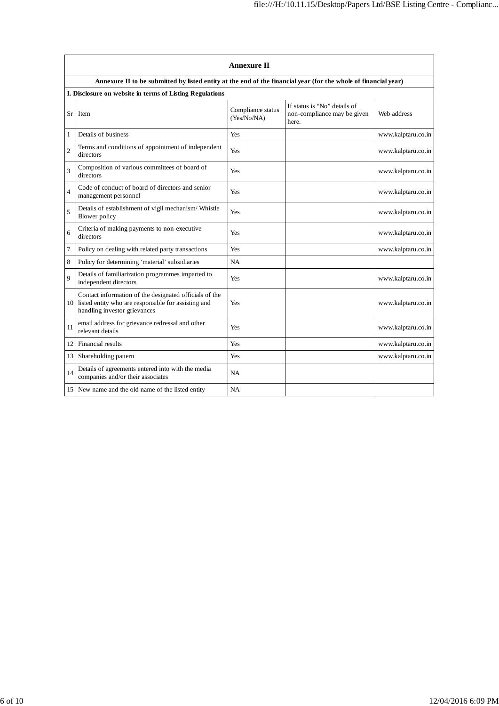|                |                                                                                                                                               | <b>Annexure II</b>               |                                                                      |                    |  |  |
|----------------|-----------------------------------------------------------------------------------------------------------------------------------------------|----------------------------------|----------------------------------------------------------------------|--------------------|--|--|
|                | Annexure II to be submitted by listed entity at the end of the financial year (for the whole of financial year)                               |                                  |                                                                      |                    |  |  |
|                | I. Disclosure on website in terms of Listing Regulations                                                                                      |                                  |                                                                      |                    |  |  |
| Sr             | Item                                                                                                                                          | Compliance status<br>(Yes/No/NA) | If status is "No" details of<br>non-compliance may be given<br>here. | Web address        |  |  |
| $\mathbf{1}$   | Details of business                                                                                                                           | Yes                              |                                                                      | www.kalptaru.co.in |  |  |
| $\overline{2}$ | Terms and conditions of appointment of independent<br>directors                                                                               | Yes                              |                                                                      | www.kalptaru.co.in |  |  |
| 3              | Composition of various committees of board of<br>directors                                                                                    | Yes                              |                                                                      | www.kalptaru.co.in |  |  |
| $\overline{4}$ | Code of conduct of board of directors and senior<br>management personnel                                                                      | Yes                              |                                                                      | www.kalptaru.co.in |  |  |
| 5              | Details of establishment of vigil mechanism/ Whistle<br>Blower policy                                                                         | Yes                              |                                                                      | www.kalptaru.co.in |  |  |
| 6              | Criteria of making payments to non-executive<br>directors                                                                                     | Yes                              |                                                                      | www.kalptaru.co.in |  |  |
| 7              | Policy on dealing with related party transactions                                                                                             | Yes                              |                                                                      | www.kalptaru.co.in |  |  |
| 8              | Policy for determining 'material' subsidiaries                                                                                                | NA                               |                                                                      |                    |  |  |
| 9              | Details of familiarization programmes imparted to<br>independent directors                                                                    | Yes                              |                                                                      | www.kalptaru.co.in |  |  |
| 10             | Contact information of the designated officials of the<br>listed entity who are responsible for assisting and<br>handling investor grievances | Yes                              |                                                                      | www.kalptaru.co.in |  |  |
| 11             | email address for grievance redressal and other<br>relevant details                                                                           | Yes                              |                                                                      | www.kalptaru.co.in |  |  |
| 12             | <b>Financial results</b>                                                                                                                      | Yes                              |                                                                      | www.kalptaru.co.in |  |  |
| 13             | Shareholding pattern                                                                                                                          | Yes                              |                                                                      | www.kalptaru.co.in |  |  |
| 14             | Details of agreements entered into with the media<br>companies and/or their associates                                                        | <b>NA</b>                        |                                                                      |                    |  |  |
|                | 15 New name and the old name of the listed entity                                                                                             | NA                               |                                                                      |                    |  |  |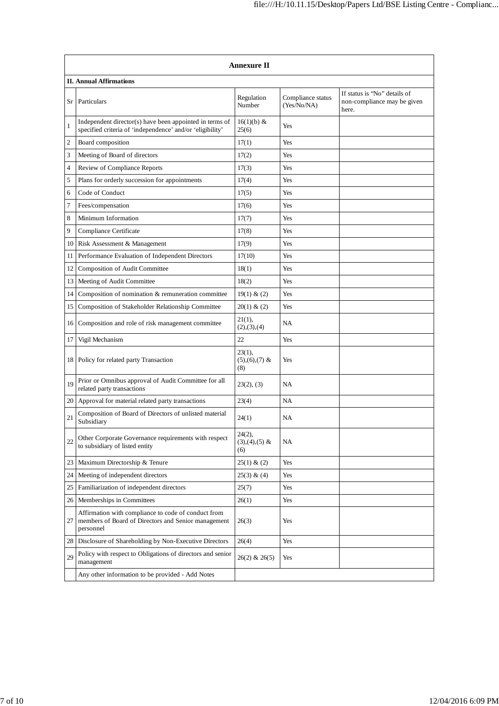|      | <b>Annexure II</b>                                                                                                      |                                       |                                  |                                                                      |  |  |
|------|-------------------------------------------------------------------------------------------------------------------------|---------------------------------------|----------------------------------|----------------------------------------------------------------------|--|--|
|      | <b>II. Annual Affirmations</b>                                                                                          |                                       |                                  |                                                                      |  |  |
| Sr   | Particulars                                                                                                             | Regulation<br>Number                  | Compliance status<br>(Yes/No/NA) | If status is "No" details of<br>non-compliance may be given<br>here. |  |  |
| 1    | Independent director(s) have been appointed in terms of<br>specified criteria of 'independence' and/or 'eligibility'    | 16(1)(b) &<br>25(6)                   | Yes                              |                                                                      |  |  |
| 2    | Board composition                                                                                                       | 17(1)                                 | Yes                              |                                                                      |  |  |
| 3    | Meeting of Board of directors                                                                                           | 17(2)                                 | Yes                              |                                                                      |  |  |
| 4    | Review of Compliance Reports                                                                                            | 17(3)                                 | Yes                              |                                                                      |  |  |
| 5    | Plans for orderly succession for appointments                                                                           | 17(4)                                 | Yes                              |                                                                      |  |  |
| 6    | Code of Conduct                                                                                                         | 17(5)                                 | Yes                              |                                                                      |  |  |
| 7    | Fees/compensation                                                                                                       | 17(6)                                 | Yes                              |                                                                      |  |  |
| 8    | Minimum Information                                                                                                     | 17(7)                                 | Yes                              |                                                                      |  |  |
| 9    | Compliance Certificate                                                                                                  | 17(8)                                 | Yes                              |                                                                      |  |  |
| 10   | Risk Assessment & Management                                                                                            | 17(9)                                 | Yes                              |                                                                      |  |  |
| 11   | Performance Evaluation of Independent Directors                                                                         | 17(10)                                | Yes                              |                                                                      |  |  |
| 12   | Composition of Audit Committee                                                                                          | 18(1)                                 | Yes                              |                                                                      |  |  |
| 13   | Meeting of Audit Committee                                                                                              | 18(2)                                 | Yes                              |                                                                      |  |  |
| 14   | Composition of nomination & remuneration committee                                                                      | 19(1) & (2)                           | Yes                              |                                                                      |  |  |
| 15   | Composition of Stakeholder Relationship Committee                                                                       | 20(1) & (2)                           | Yes                              |                                                                      |  |  |
| 16   | Composition and role of risk management committee                                                                       | 21(1),<br>(2), (3), (4)               | <b>NA</b>                        |                                                                      |  |  |
| 17   | Vigil Mechanism                                                                                                         | 22                                    | Yes                              |                                                                      |  |  |
| 18   | Policy for related party Transaction                                                                                    | $23(1)$ ,<br>$(5), (6), (7)$ &<br>(8) | Yes                              |                                                                      |  |  |
| 19   | Prior or Omnibus approval of Audit Committee for all<br>related party transactions                                      | 23(2), (3)                            | <b>NA</b>                        |                                                                      |  |  |
| 20 I | Approval for material related party transactions                                                                        | 23(4)                                 | <b>NA</b>                        |                                                                      |  |  |
| 21   | Composition of Board of Directors of unlisted material<br>Subsidiary                                                    | 24(1)                                 | NA                               |                                                                      |  |  |
| 22   | Other Corporate Governance requirements with respect<br>to subsidiary of listed entity                                  | 24(2),<br>$(3),(4),(5)$ &<br>(6)      | NA                               |                                                                      |  |  |
| 23   | Maximum Directorship & Tenure                                                                                           | 25(1) & (2)                           | Yes                              |                                                                      |  |  |
| 24   | Meeting of independent directors                                                                                        | $25(3) \& (4)$                        | Yes                              |                                                                      |  |  |
| 25   | Familiarization of independent directors                                                                                | 25(7)                                 | Yes                              |                                                                      |  |  |
| 26   | Memberships in Committees                                                                                               | 26(1)                                 | Yes                              |                                                                      |  |  |
| 27   | Affirmation with compliance to code of conduct from<br>members of Board of Directors and Senior management<br>personnel | 26(3)                                 | Yes                              |                                                                      |  |  |
| 28   | Disclosure of Shareholding by Non-Executive Directors                                                                   | 26(4)                                 | Yes                              |                                                                      |  |  |
| 29   | Policy with respect to Obligations of directors and senior<br>management                                                | $26(2)$ & $26(5)$                     | Yes                              |                                                                      |  |  |
|      | Any other information to be provided - Add Notes                                                                        |                                       |                                  |                                                                      |  |  |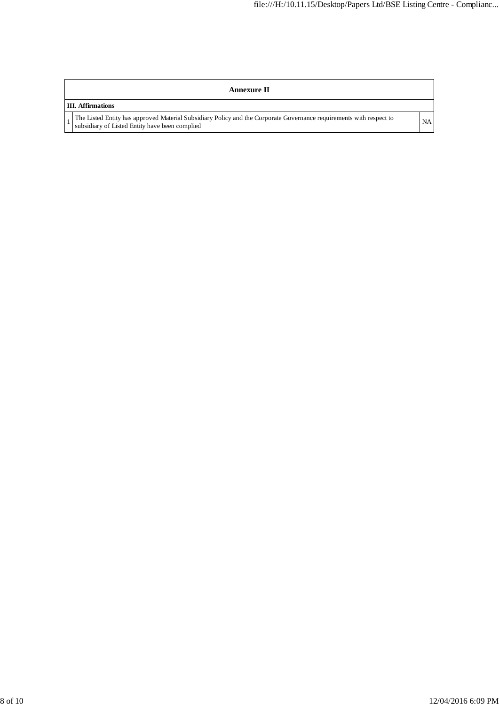## **Annexure II**

## **III. Affirmations**

1 The Listed Entity has approved Material Subsidiary Policy and the Corporate Governance requirements with respect to NA